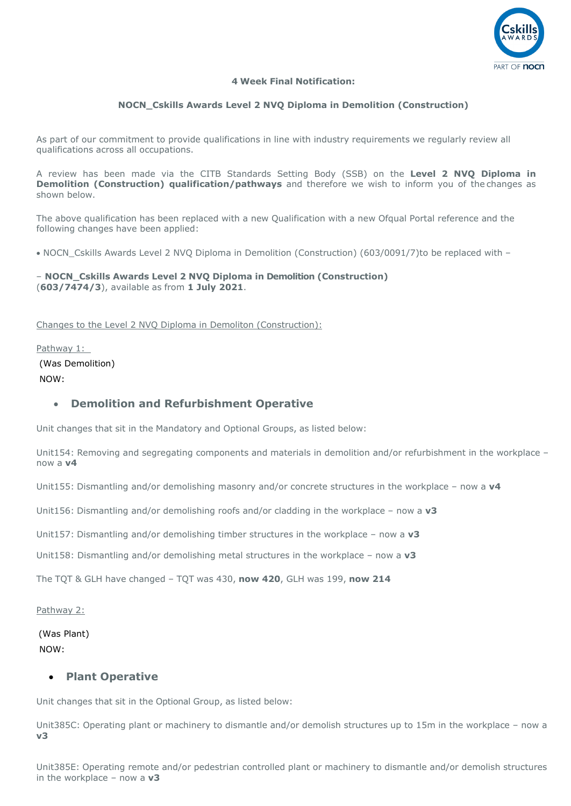

## **4 Week Final Notification:**

# **NOCN\_Cskills Awards Level 2 NVQ Diploma in Demolition (Construction)**

As part of our commitment to provide qualifications in line with industry requirements we regularly review all qualifications across all occupations.

A review has been made via the CITB Standards Setting Body (SSB) on the **Level 2 NVQ Diploma in Demolition (Construction) qualification/pathways** and therefore we wish to inform you of the changes as shown below.

The above qualification has been replaced with a new Qualification with a new Ofqual Portal reference and the following changes have been applied:

• NOCN Cskills Awards Level 2 NVQ Diploma in Demolition (Construction) (603/0091/7) to be replaced with –

## – **NOCN\_Cskills Awards Level 2 NVQ Diploma in Demolition (Construction)** (**603/7474/3**), available as from **1 July 2021**.

Changes to the Level 2 NVQ Diploma in Demoliton (Construction):

Pathway 1:

(Was Demolition) NOW:

# • **Demolition and Refurbishment Operative**

Unit changes that sit in the Mandatory and Optional Groups, as listed below:

Unit154: Removing and segregating components and materials in demolition and/or refurbishment in the workplace – now a **v4**

Unit155: Dismantling and/or demolishing masonry and/or concrete structures in the workplace – now a **v4**

Unit156: Dismantling and/or demolishing roofs and/or cladding in the workplace – now a **v3**

Unit157: Dismantling and/or demolishing timber structures in the workplace – now a **v3** 

Unit158: Dismantling and/or demolishing metal structures in the workplace – now a **v3**

The TQT & GLH have changed – TQT was 430, **now 420**, GLH was 199, **now 214**

Pathway 2:

(Was Plant) NOW:

## • **Plant Operative**

Unit changes that sit in the Optional Group, as listed below:

Unit385C: Operating plant or machinery to dismantle and/or demolish structures up to 15m in the workplace – now a **v3**

Unit385E: Operating remote and/or pedestrian controlled plant or machinery to dismantle and/or demolish structures in the workplace – now a **v3**